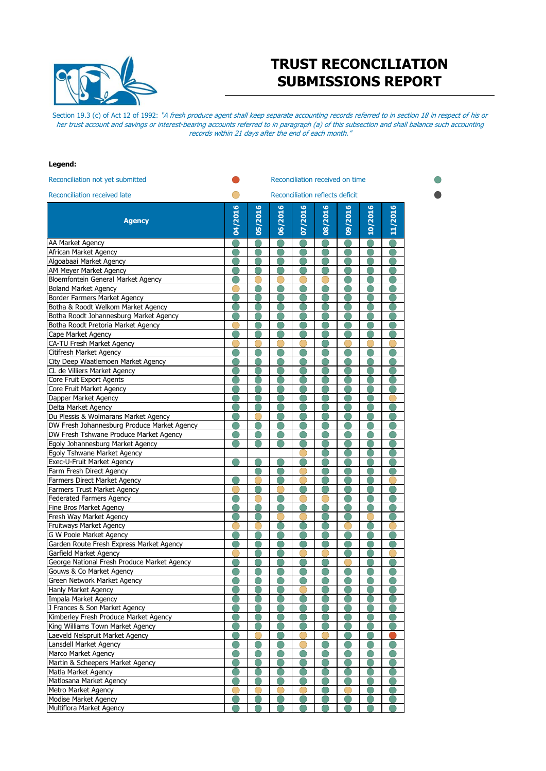

## **TRUST RECONCILIATION SUBMISSIONS REPORT**

Section 19.3 (c) of Act 12 of 1992: "A fresh produce agent shall keep separate accounting records referred to in section 18 in respect of his or her trust account and savings or interest-bearing accounts referred to in paragraph (a) of this subsection and shall balance such accounting records within 21 days after the end of each month."

## **Legend:**

| Reconciliation not yet submitted                   |         | Reconciliation received on time |         |         |         |         |         |         |  |  |  |  |
|----------------------------------------------------|---------|---------------------------------|---------|---------|---------|---------|---------|---------|--|--|--|--|
| Reconciliation received late                       |         | Reconciliation reflects deficit |         |         |         |         |         |         |  |  |  |  |
|                                                    |         |                                 |         |         |         |         |         |         |  |  |  |  |
| <b>Agency</b>                                      | 04/2016 | 05/2016                         | 06/2016 | 07/2016 | 08/2016 | 09/2016 | 10/2016 | 11/2016 |  |  |  |  |
|                                                    |         |                                 |         |         |         |         |         |         |  |  |  |  |
|                                                    |         |                                 |         |         |         |         |         |         |  |  |  |  |
| AA Market Agency                                   |         |                                 |         |         |         |         |         |         |  |  |  |  |
| African Market Agency                              |         |                                 |         |         |         |         |         |         |  |  |  |  |
| Algoabaai Market Agency<br>AM Meyer Market Agency  |         |                                 |         |         |         |         |         |         |  |  |  |  |
| Bloemfontein General Market Agency                 |         |                                 |         |         |         |         |         |         |  |  |  |  |
| <b>Boland Market Agency</b>                        |         |                                 |         |         |         |         |         |         |  |  |  |  |
| Border Farmers Market Agency                       |         |                                 |         |         |         |         |         |         |  |  |  |  |
| Botha & Roodt Welkom Market Agency                 |         |                                 |         |         |         |         |         |         |  |  |  |  |
| Botha Roodt Johannesburg Market Agency             |         |                                 |         |         |         |         |         |         |  |  |  |  |
| Botha Roodt Pretoria Market Agency                 |         |                                 |         |         |         |         |         |         |  |  |  |  |
| Cape Market Agency                                 |         |                                 |         |         |         |         |         |         |  |  |  |  |
| CA-TU Fresh Market Agency                          |         |                                 |         |         |         |         |         |         |  |  |  |  |
| Citifresh Market Agency                            |         |                                 |         |         |         |         |         |         |  |  |  |  |
| City Deep Waatlemoen Market Agency                 |         |                                 |         |         |         |         |         |         |  |  |  |  |
| CL de Villiers Market Agency                       |         |                                 |         |         |         |         |         |         |  |  |  |  |
| Core Fruit Export Agents                           |         |                                 |         |         |         |         |         |         |  |  |  |  |
| Core Fruit Market Agency                           |         |                                 |         |         |         |         |         |         |  |  |  |  |
| Dapper Market Agency                               |         |                                 |         |         |         |         |         |         |  |  |  |  |
| Delta Market Agency                                |         |                                 |         |         |         |         |         |         |  |  |  |  |
| Du Plessis & Wolmarans Market Agency               |         |                                 |         |         |         |         |         |         |  |  |  |  |
| DW Fresh Johannesburg Produce Market Agency        |         |                                 |         |         |         |         |         |         |  |  |  |  |
| DW Fresh Tshwane Produce Market Agency             |         |                                 |         |         |         |         |         |         |  |  |  |  |
| Egoly Johannesburg Market Agency                   |         |                                 |         |         |         |         |         |         |  |  |  |  |
| Egoly Tshwane Market Agency                        |         |                                 |         |         |         |         |         |         |  |  |  |  |
| Exec-U-Fruit Market Agency                         |         |                                 |         |         |         |         |         |         |  |  |  |  |
| Farm Fresh Direct Agency                           |         |                                 |         |         |         |         |         |         |  |  |  |  |
| Farmers Direct Market Agency                       |         |                                 |         |         |         |         |         |         |  |  |  |  |
| Farmers Trust Market Agency                        |         |                                 |         |         |         |         |         |         |  |  |  |  |
| <b>Federated Farmers Agency</b>                    |         |                                 |         |         |         |         |         |         |  |  |  |  |
| Fine Bros Market Agency                            |         |                                 |         |         |         |         |         |         |  |  |  |  |
| Fresh Way Market Agency                            |         |                                 |         |         |         |         |         |         |  |  |  |  |
| Fruitways Market Agency                            |         |                                 |         |         |         |         |         |         |  |  |  |  |
| <b>G W Poole Market Agency</b>                     |         |                                 |         |         |         |         |         |         |  |  |  |  |
| Garden Route Fresh Express Market Agency           |         |                                 |         |         |         |         |         |         |  |  |  |  |
| Garfield Market Agency                             |         |                                 |         |         |         |         |         |         |  |  |  |  |
| George National Fresh Produce Market Agency        |         |                                 |         |         |         |         |         |         |  |  |  |  |
| Gouws & Co Market Agency                           |         |                                 |         |         |         |         |         |         |  |  |  |  |
| Green Network Market Agency                        |         |                                 |         |         |         |         |         |         |  |  |  |  |
| Hanly Market Agency                                |         |                                 |         |         |         |         |         |         |  |  |  |  |
| Impala Market Agency                               |         |                                 |         |         |         |         |         |         |  |  |  |  |
| J Frances & Son Market Agency                      |         |                                 |         |         |         |         |         |         |  |  |  |  |
| Kimberley Fresh Produce Market Agency              |         |                                 |         |         |         |         |         |         |  |  |  |  |
| King Williams Town Market Agency                   |         |                                 |         |         |         |         |         |         |  |  |  |  |
| Laeveld Nelspruit Market Agency                    |         |                                 |         |         |         |         |         |         |  |  |  |  |
| Lansdell Market Agency                             |         |                                 |         |         |         |         |         |         |  |  |  |  |
| Marco Market Agency                                |         |                                 |         |         |         |         |         |         |  |  |  |  |
| Martin & Scheepers Market Agency                   |         |                                 |         |         |         |         |         |         |  |  |  |  |
| Matla Market Agency                                |         |                                 |         |         |         |         |         |         |  |  |  |  |
| Matlosana Market Agency                            |         |                                 |         |         |         |         |         |         |  |  |  |  |
| Metro Market Agency<br><b>Modise Market Agency</b> |         |                                 |         |         |         |         |         |         |  |  |  |  |
| Multiflora Market Agency                           |         |                                 |         |         |         |         |         |         |  |  |  |  |
|                                                    |         |                                 |         |         |         |         |         |         |  |  |  |  |